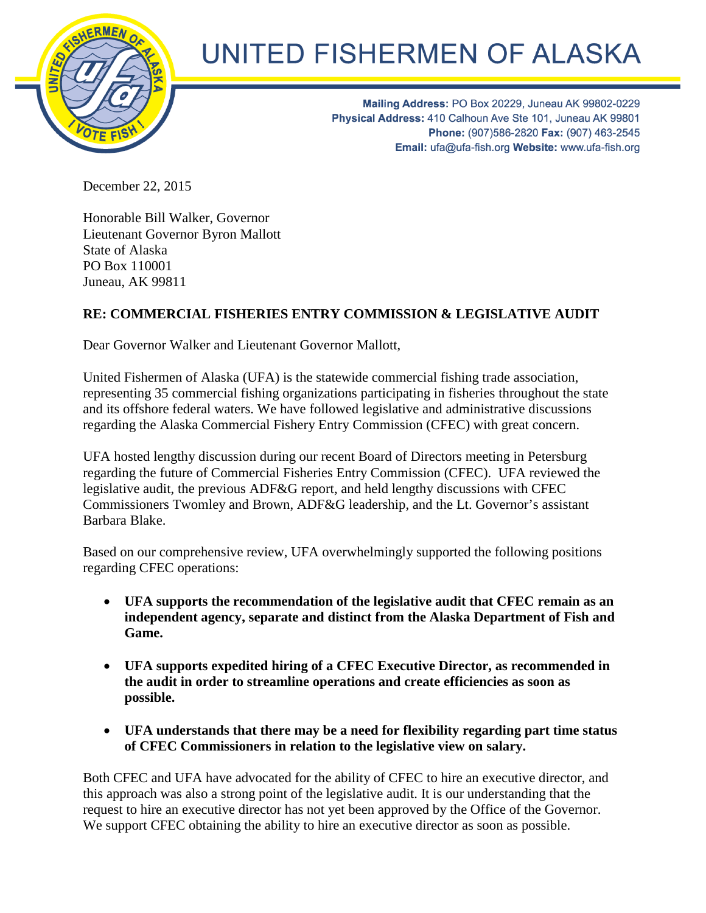

## UNITED FISHERMEN OF ALASKA

Mailing Address: PO Box 20229, Juneau AK 99802-0229 Physical Address: 410 Calhoun Ave Ste 101, Juneau AK 99801 Phone: (907)586-2820 Fax: (907) 463-2545 Email: ufa@ufa-fish.org Website: www.ufa-fish.org

December 22, 2015

Honorable Bill Walker, Governor Lieutenant Governor Byron Mallott State of Alaska PO Box 110001 Juneau, AK 99811

## **RE: COMMERCIAL FISHERIES ENTRY COMMISSION & LEGISLATIVE AUDIT**

Dear Governor Walker and Lieutenant Governor Mallott,

United Fishermen of Alaska (UFA) is the statewide commercial fishing trade association, representing 35 commercial fishing organizations participating in fisheries throughout the state and its offshore federal waters. We have followed legislative and administrative discussions regarding the Alaska Commercial Fishery Entry Commission (CFEC) with great concern.

UFA hosted lengthy discussion during our recent Board of Directors meeting in Petersburg regarding the future of Commercial Fisheries Entry Commission (CFEC). UFA reviewed the legislative audit, the previous ADF&G report, and held lengthy discussions with CFEC Commissioners Twomley and Brown, ADF&G leadership, and the Lt. Governor's assistant Barbara Blake.

Based on our comprehensive review, UFA overwhelmingly supported the following positions regarding CFEC operations:

- **UFA supports the recommendation of the legislative audit that CFEC remain as an independent agency, separate and distinct from the Alaska Department of Fish and Game.**
- **UFA supports expedited hiring of a CFEC Executive Director, as recommended in the audit in order to streamline operations and create efficiencies as soon as possible.**
- **UFA understands that there may be a need for flexibility regarding part time status of CFEC Commissioners in relation to the legislative view on salary.**

Both CFEC and UFA have advocated for the ability of CFEC to hire an executive director, and this approach was also a strong point of the legislative audit. It is our understanding that the request to hire an executive director has not yet been approved by the Office of the Governor. We support CFEC obtaining the ability to hire an executive director as soon as possible.